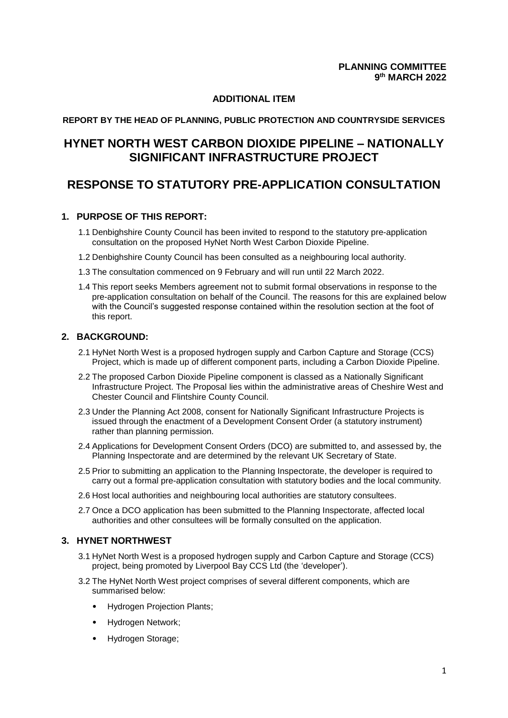## **ADDITIONAL ITEM**

#### **REPORT BY THE HEAD OF PLANNING, PUBLIC PROTECTION AND COUNTRYSIDE SERVICES**

## **HYNET NORTH WEST CARBON DIOXIDE PIPELINE – NATIONALLY SIGNIFICANT INFRASTRUCTURE PROJECT**

# **RESPONSE TO STATUTORY PRE-APPLICATION CONSULTATION**

## **1. PURPOSE OF THIS REPORT:**

- 1.1 Denbighshire County Council has been invited to respond to the statutory pre-application consultation on the proposed HyNet North West Carbon Dioxide Pipeline.
- 1.2 Denbighshire County Council has been consulted as a neighbouring local authority.
- 1.3 The consultation commenced on 9 February and will run until 22 March 2022.
- 1.4 This report seeks Members agreement not to submit formal observations in response to the pre-application consultation on behalf of the Council. The reasons for this are explained below with the Council's suggested response contained within the resolution section at the foot of this report.

#### **2. BACKGROUND:**

- 2.1 HyNet North West is a proposed hydrogen supply and Carbon Capture and Storage (CCS) Project, which is made up of different component parts, including a Carbon Dioxide Pipeline.
- 2.2 The proposed Carbon Dioxide Pipeline component is classed as a Nationally Significant Infrastructure Project. The Proposal lies within the administrative areas of Cheshire West and Chester Council and Flintshire County Council.
- 2.3 Under the Planning Act 2008, consent for Nationally Significant Infrastructure Projects is issued through the enactment of a Development Consent Order (a statutory instrument) rather than planning permission.
- 2.4 Applications for Development Consent Orders (DCO) are submitted to, and assessed by, the Planning Inspectorate and are determined by the relevant UK Secretary of State.
- 2.5 Prior to submitting an application to the Planning Inspectorate, the developer is required to carry out a formal pre-application consultation with statutory bodies and the local community.
- 2.6 Host local authorities and neighbouring local authorities are statutory consultees.
- 2.7 Once a DCO application has been submitted to the Planning Inspectorate, affected local authorities and other consultees will be formally consulted on the application.

## **3. HYNET NORTHWEST**

- 3.1 HyNet North West is a proposed hydrogen supply and Carbon Capture and Storage (CCS) project, being promoted by Liverpool Bay CCS Ltd (the 'developer').
- 3.2 The HyNet North West project comprises of several different components, which are summarised below:
	- Hydrogen Projection Plants;
	- Hydrogen Network;
	- Hydrogen Storage;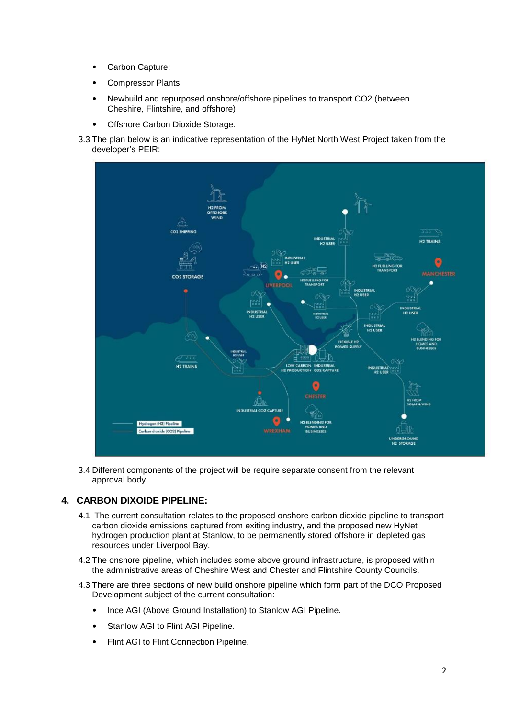- Carbon Capture;
- Compressor Plants;
- Newbuild and repurposed onshore/offshore pipelines to transport CO2 (between Cheshire, Flintshire, and offshore);
- Offshore Carbon Dioxide Storage.
- 3.3 The plan below is an indicative representation of the HyNet North West Project taken from the developer's PEIR:



3.4 Different components of the project will be require separate consent from the relevant approval body.

## **4. CARBON DIXOIDE PIPELINE:**

- 4.1 The current consultation relates to the proposed onshore carbon dioxide pipeline to transport carbon dioxide emissions captured from exiting industry, and the proposed new HyNet hydrogen production plant at Stanlow, to be permanently stored offshore in depleted gas resources under Liverpool Bay.
- 4.2 The onshore pipeline, which includes some above ground infrastructure, is proposed within the administrative areas of Cheshire West and Chester and Flintshire County Councils.
- 4.3 There are three sections of new build onshore pipeline which form part of the DCO Proposed Development subject of the current consultation:
	- Ince AGI (Above Ground Installation) to Stanlow AGI Pipeline.
	- Stanlow AGI to Flint AGI Pipeline.
	- Flint AGI to Flint Connection Pipeline.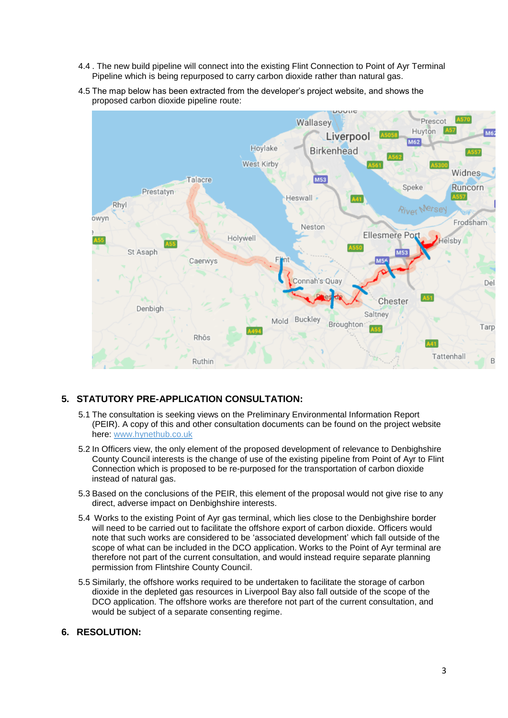- 4.4 . The new build pipeline will connect into the existing Flint Connection to Point of Ayr Terminal Pipeline which is being repurposed to carry carbon dioxide rather than natural gas.
- 4.5 The map below has been extracted from the developer's project website, and shows the proposed carbon dioxide pipeline route:



## **5. STATUTORY PRE-APPLICATION CONSULTATION:**

- 5.1 The consultation is seeking views on the Preliminary Environmental Information Report (PEIR). A copy of this and other consultation documents can be found on the project website here: [www.hynethub.co.uk](http://www.hynethub.co.uk/)
- 5.2 In Officers view, the only element of the proposed development of relevance to Denbighshire County Council interests is the change of use of the existing pipeline from Point of Ayr to Flint Connection which is proposed to be re-purposed for the transportation of carbon dioxide instead of natural gas.
- 5.3 Based on the conclusions of the PEIR, this element of the proposal would not give rise to any direct, adverse impact on Denbighshire interests.
- 5.4 Works to the existing Point of Ayr gas terminal, which lies close to the Denbighshire border will need to be carried out to facilitate the offshore export of carbon dioxide. Officers would note that such works are considered to be 'associated development' which fall outside of the scope of what can be included in the DCO application. Works to the Point of Ayr terminal are therefore not part of the current consultation, and would instead require separate planning permission from Flintshire County Council.
- 5.5 Similarly, the offshore works required to be undertaken to facilitate the storage of carbon dioxide in the depleted gas resources in Liverpool Bay also fall outside of the scope of the DCO application. The offshore works are therefore not part of the current consultation, and would be subject of a separate consenting regime.

#### **6. RESOLUTION:**